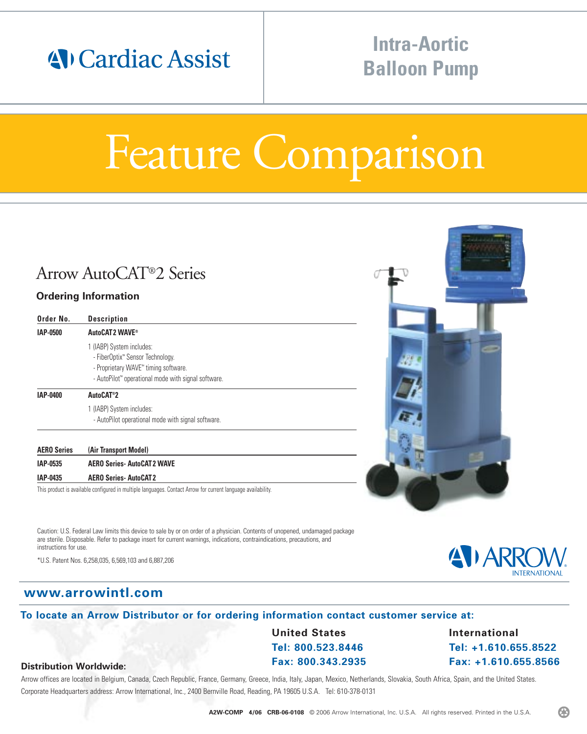## 4 Cardiac Assist

## **Intra-Aortic Balloon Pump**

# Feature Comparison

### Arrow AutoCAT®2 Series

#### **Ordering Information**

| Order No.          | <b>Description</b>                                                                                                                                                                    |
|--------------------|---------------------------------------------------------------------------------------------------------------------------------------------------------------------------------------|
| IAP-0500           | AutoCAT2 WAVE®                                                                                                                                                                        |
|                    | 1 (IABP) System includes:<br>- FiberOptix <sup>**</sup> Sensor Technology.<br>- Proprietary WAVE" timing software.<br>- AutoPilot <sup>*</sup> operational mode with signal software. |
| IAP-0400           | AutoCAT <sup>®</sup> 2                                                                                                                                                                |
|                    | 1 (IABP) System includes:<br>- AutoPilot operational mode with signal software.                                                                                                       |
| <b>AERO Series</b> | (Air Transport Model)                                                                                                                                                                 |

**IAP-0535 AERO Series- AutoCAT 2 WAVE IAP-0435 AERO Series- AutoCAT 2** This product is available configured in multiple languages. Contact Arrow for current language availability.

Caution: U.S. Federal Law limits this device to sale by or on order of a physician. Contents of unopened, undamaged package are sterile. Disposable. Refer to package insert for current warnings, indications, contraindications, precautions, and instructions for use.

\*U.S. Patent Nos. 6,258,035, 6,569,103 and 6,887,206

#### **www.arrowintl.com**

**Distribution Worldwide:**

#### **To locate an Arrow Distributor or for ordering information contact customer service at:**

**United States Tel: 800.523.8446 Fax: 800.343.2935** **International Tel: +1.610.655.8522 Fax: +1.610.655.8566**

#### Arrow offices are located in Belgium, Canada, Czech Republic, France, Germany, Greece, India, Italy, Japan, Mexico, Netherlands, Slovakia, South Africa, Spain, and the United States. Corporate Headquarters address: Arrow International, Inc., 2400 Bernville Road, Reading, PA 19605 U.S.A. Tel: 610-378-0131

B